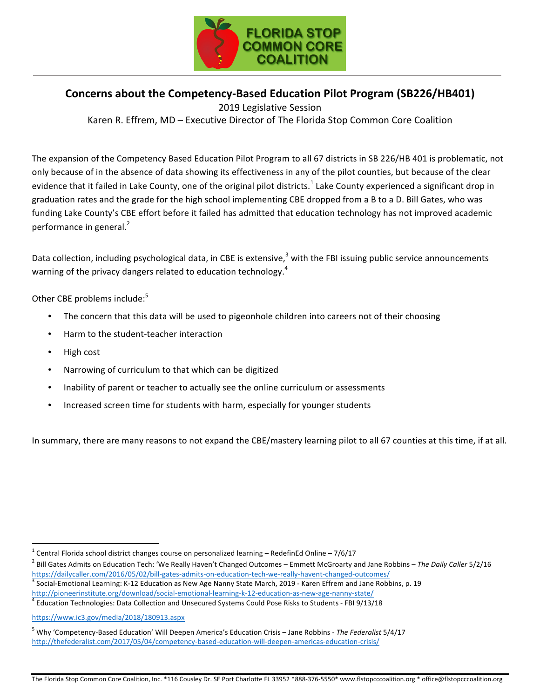

## **Concerns about the Competency-Based Education Pilot Program (SB226/HB401)**

2019 Legislative Session Karen R. Effrem, MD – Executive Director of The Florida Stop Common Core Coalition

The expansion of the Competency Based Education Pilot Program to all 67 districts in SB 226/HB 401 is problematic, not only because of in the absence of data showing its effectiveness in any of the pilot counties, but because of the clear evidence that it failed in Lake County, one of the original pilot districts.<sup>1</sup> Lake County experienced a significant drop in graduation rates and the grade for the high school implementing CBE dropped from a B to a D. Bill Gates, who was funding Lake County's CBE effort before it failed has admitted that education technology has not improved academic performance in general. $<sup>2</sup>$ </sup>

Data collection, including psychological data, in CBE is extensive, $3$  with the FBI issuing public service announcements warning of the privacy dangers related to education technology.<sup>4</sup>

Other CBE problems include:<sup>5</sup>

- The concern that this data will be used to pigeonhole children into careers not of their choosing
- Harm to the student-teacher interaction
- High cost
- Narrowing of curriculum to that which can be digitized
- Inability of parent or teacher to actually see the online curriculum or assessments
- Increased screen time for students with harm, especially for younger students

In summary, there are many reasons to not expand the CBE/mastery learning pilot to all 67 counties at this time, if at all.

 $1$  Central Florida school district changes course on personalized learning – RedefinEd Online – 7/6/17

<sup>&</sup>lt;sup>2</sup> Bill Gates Admits on Education Tech: 'We Really Haven't Changed Outcomes – Emmett McGroarty and Jane Robbins – The Daily Caller 5/2/16<br>https://dailycaller.com/2016/05/02/bill-gates-admits-on-education-tech-we-really-ha

 $3$  Social-Emotional Learning: K-12 Education as New Age Nanny State March, 2019 - Karen Effrem and Jane Robbins, p. 19

http://pioneerinstitute.org/download/social-emotional-learning-k-12-education-as-new-age-nanny-state/<br><sup>4</sup> Education Technologies: Data Collection and Unsecured Systems Could Pose Risks to Students - FBI 9/13/18

https://www.ic3.gov/media/2018/180913.aspx

<sup>&</sup>lt;sup>5</sup> Why 'Competency-Based Education' Will Deepen America's Education Crisis – Jane Robbins - The Federalist 5/4/17 http://thefederalist.com/2017/05/04/competency-based-education-will-deepen-americas-education-crisis/

The Florida Stop Common Core Coalition, Inc. \*116 Cousley Dr. SE Port Charlotte FL 33952 \*888-376-5550\* www.flstopcccoalition.org \* office@flstopcccoalition.org